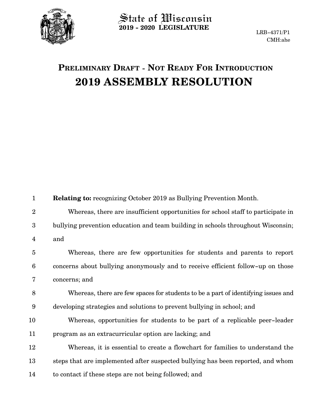

**2019 - 2020 LEGISLATURE**

## **PRELIMINARY DRAFT - NOT READY FOR INTRODUCTION 2019 ASSEMBLY RESOLUTION**

| $\mathbf{1}$    | <b>Relating to:</b> recognizing October 2019 as Bullying Prevention Month.        |
|-----------------|-----------------------------------------------------------------------------------|
| $\overline{2}$  | Whereas, there are insufficient opportunities for school staff to participate in  |
| 3               | bullying prevention education and team building in schools throughout Wisconsin;  |
| 4               | and                                                                               |
| $\overline{5}$  | Whereas, there are few opportunities for students and parents to report           |
| $6\phantom{1}6$ | concerns about bullying anonymously and to receive efficient follow-up on those   |
| 7               | concerns; and                                                                     |
| 8               | Whereas, there are few spaces for students to be a part of identifying issues and |
| 9               | developing strategies and solutions to prevent bullying in school; and            |
| 10              | Whereas, opportunities for students to be part of a replicable peer-leader        |
| 11              | program as an extracurricular option are lacking; and                             |
| $12\,$          | Whereas, it is essential to create a flowchart for families to understand the     |
| 13              | steps that are implemented after suspected bullying has been reported, and whom   |
| 14              | to contact if these steps are not being followed; and                             |